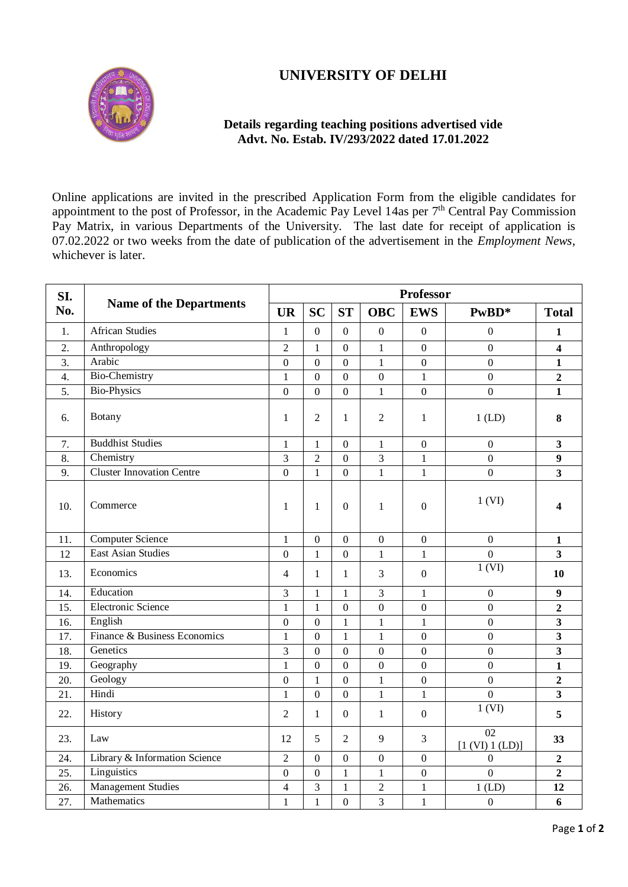## **UNIVERSITY OF DELHI**



## **Details regarding teaching positions advertised vide Advt. No. Estab. IV/293/2022 dated 17.01.2022**

Online applications are invited in the prescribed Application Form from the eligible candidates for appointment to the post of Professor, in the Academic Pay Level 14as per 7<sup>th</sup> Central Pay Commission Pay Matrix, in various Departments of the University. The last date for receipt of application is 07.02.2022 or two weeks from the date of publication of the advertisement in the *Employment News*, whichever is later.

| SI. | <b>Name of the Departments</b>   | <b>Professor</b> |                  |                  |                  |                  |                       |                         |  |
|-----|----------------------------------|------------------|------------------|------------------|------------------|------------------|-----------------------|-------------------------|--|
| No. |                                  | <b>UR</b>        | <b>SC</b>        | <b>ST</b>        | <b>OBC</b>       | <b>EWS</b>       | PwBD*                 | <b>Total</b>            |  |
| 1.  | <b>African Studies</b>           | $\mathbf{1}$     | $\overline{0}$   | $\overline{0}$   | $\overline{0}$   | $\overline{0}$   | $\boldsymbol{0}$      | $\mathbf{1}$            |  |
| 2.  | Anthropology                     | $\overline{2}$   | 1                | $\boldsymbol{0}$ | $\mathbf{1}$     | $\boldsymbol{0}$ | $\boldsymbol{0}$      | $\overline{\mathbf{4}}$ |  |
| 3.  | Arabic                           | $\theta$         | $\boldsymbol{0}$ | $\boldsymbol{0}$ | $\mathbf{1}$     | $\boldsymbol{0}$ | $\boldsymbol{0}$      | $\mathbf{1}$            |  |
| 4.  | <b>Bio-Chemistry</b>             | 1                | $\boldsymbol{0}$ | $\boldsymbol{0}$ | $\boldsymbol{0}$ | $\mathbf{1}$     | $\boldsymbol{0}$      | $\mathbf{2}$            |  |
| 5.  | <b>Bio-Physics</b>               | $\mathbf{0}$     | $\overline{0}$   | $\mathbf{0}$     | $\mathbf{1}$     | $\boldsymbol{0}$ | $\overline{0}$        | $\mathbf{1}$            |  |
| 6.  | Botany                           | 1                | $\overline{2}$   | 1                | $\overline{2}$   | 1                | $1$ (LD)              | 8                       |  |
| 7.  | <b>Buddhist Studies</b>          | $\mathbf{1}$     | $\mathbf{1}$     | $\boldsymbol{0}$ | $\mathbf{1}$     | $\mathbf{0}$     | $\boldsymbol{0}$      | $\overline{\mathbf{3}}$ |  |
| 8.  | Chemistry                        | 3                | $\overline{2}$   | $\mathbf{0}$     | 3                | $\mathbf{1}$     | $\mathbf{0}$          | 9                       |  |
| 9.  | <b>Cluster Innovation Centre</b> | $\overline{0}$   | $\mathbf{1}$     | $\overline{0}$   | $\overline{1}$   | $\mathbf{1}$     | $\overline{0}$        | $\overline{\mathbf{3}}$ |  |
| 10. | Commerce                         | $\mathbf{1}$     | $\mathbf{1}$     | $\boldsymbol{0}$ | $\mathbf{1}$     | $\boldsymbol{0}$ | 1 (VI)                | 4                       |  |
| 11. | <b>Computer Science</b>          | 1                | $\boldsymbol{0}$ | $\boldsymbol{0}$ | $\boldsymbol{0}$ | $\boldsymbol{0}$ | $\boldsymbol{0}$      | 1                       |  |
| 12  | <b>East Asian Studies</b>        | $\boldsymbol{0}$ | $\mathbf{1}$     | $\boldsymbol{0}$ | $\mathbf{1}$     | $\mathbf{1}$     | $\mathbf{0}$          | $\overline{\mathbf{3}}$ |  |
| 13. | Economics                        | 4                | 1                | 1                | 3                | $\boldsymbol{0}$ | 1 (VI)                | 10                      |  |
| 14. | Education                        | 3                | $\mathbf{1}$     | $\mathbf{1}$     | 3                | $\mathbf{1}$     | $\mathbf{0}$          | $\boldsymbol{9}$        |  |
| 15. | Electronic Science               | $\mathbf{1}$     | $\mathbf{1}$     | $\overline{0}$   | $\overline{0}$   | $\overline{0}$   | $\overline{0}$        | $\overline{2}$          |  |
| 16. | English                          | $\overline{0}$   | $\overline{0}$   | $\mathbf{1}$     | $\mathbf{1}$     | $\mathbf{1}$     | $\overline{0}$        | $\overline{\mathbf{3}}$ |  |
| 17. | Finance & Business Economics     | $\mathbf{1}$     | $\overline{0}$   | $\mathbf{1}$     | $\mathbf{1}$     | $\boldsymbol{0}$ | $\boldsymbol{0}$      | $\overline{\mathbf{3}}$ |  |
| 18. | Genetics                         | 3                | $\mathbf{0}$     | $\boldsymbol{0}$ | $\boldsymbol{0}$ | $\boldsymbol{0}$ | $\mathbf{0}$          | $\overline{\mathbf{3}}$ |  |
| 19. | Geography                        | $\mathbf{1}$     | $\overline{0}$   | $\boldsymbol{0}$ | $\overline{0}$   | $\mathbf{0}$     | $\mathbf{0}$          | $\mathbf{1}$            |  |
| 20. | Geology                          | $\mathbf{0}$     | 1                | $\boldsymbol{0}$ | $\mathbf{1}$     | $\boldsymbol{0}$ | $\mathbf{0}$          | $\overline{\mathbf{c}}$ |  |
| 21. | Hindi                            | $\mathbf{1}$     | $\mathbf{0}$     | $\boldsymbol{0}$ | $\mathbf{1}$     | $\mathbf{1}$     | $\boldsymbol{0}$      | $\overline{\mathbf{3}}$ |  |
| 22. | History                          | 2                | 1                | $\mathbf{0}$     | $\mathbf{1}$     | $\boldsymbol{0}$ | 1 (VI)                | 5                       |  |
| 23. | Law                              | 12               | 5                | $\overline{2}$   | 9                | 3                | 02<br>[1 (VI) 1 (LD)] | 33                      |  |
| 24. | Library & Information Science    | $\overline{2}$   | $\overline{0}$   | $\boldsymbol{0}$ | $\boldsymbol{0}$ | $\boldsymbol{0}$ | $\boldsymbol{0}$      | $\mathbf 2$             |  |
| 25. | Linguistics                      | $\mathbf{0}$     | $\overline{0}$   | 1                | $\mathbf{1}$     | $\boldsymbol{0}$ | $\overline{0}$        | $\overline{2}$          |  |
| 26. | <b>Management Studies</b>        | 4                | 3                | $\mathbf{1}$     | $\overline{c}$   | $\mathbf{1}$     | $1$ (LD)              | 12                      |  |
| 27. | Mathematics                      | 1                | $\mathbf{1}$     | $\overline{0}$   | 3                | $\mathbf{1}$     | $\boldsymbol{0}$      | 6                       |  |